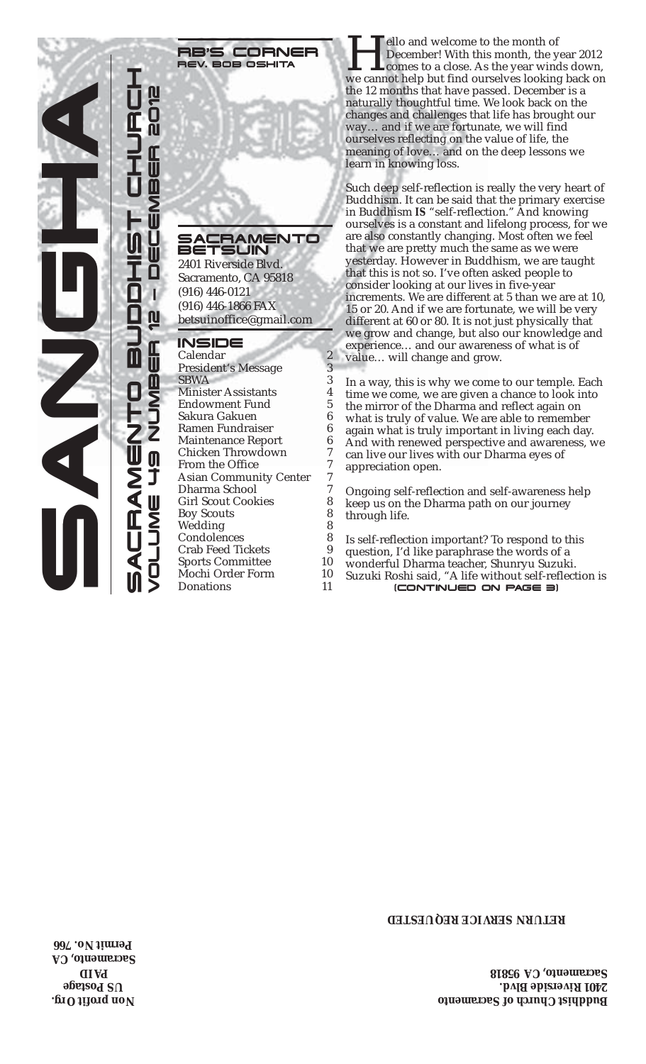

**RB'S CORNER**<br>REV. BOB OSHITA

## SACRAMENTO<br>BETSLIN 5LJIN

2401 Riverside Blvd. Sacramento, CA 95818 (916) 446-0121 (916) 446-1866 FAX betsuinoffice@gmail.com

## INSIDE

Calendar 2<br>President's Message 3 President's Message 3<br>SBWA 3 **SBWA** Minister Assistants 4<br>Endowment Fund 5 Endowment Fund 5 Sakura Gakuen 6 Ramen Fundraiser 6 Maintenance Report 6<br>Chicken Throwdown 7 Chicken Throwdown 7<br>From the Office 7 From the Office 7<br>Asian Community Center 7 Asian Community Center 7<br>Dharma School 7 Dharma School 7<br>Girl Scout Cookies 8 Girl Scout Cookies 8<br>Boy Scouts 8 Boy Scouts 8 Wedding Condolences 8<br>Crab Feed Tickets 9 Crab Feed Tickets 9<br>Sports Committee 10 Sports Committee Mochi Order Form 10<br>Donations 11

RE'S CORNER Hello and welcome to the month of<br>REV. BOB OSHITA We cannot help but find ourselves looking back on December! With this month, the year 2012 comes to a close. As the year winds down, the 12 months that have passed. December is a naturally thoughtful time. We look back on the changes and challenges that life has brought our way… and if we are fortunate, we will find ourselves reflecting on the value of life, the meaning of love… and on the deep lessons we learn in knowing loss.

> Such deep self-reflection is really the very heart of Buddhism. It can be said that the primary exercise in Buddhism *IS* "self-reflection." And knowing ourselves is a constant and lifelong process, for we are also constantly changing. Most often we feel that we are pretty much the same as we were yesterday. However in Buddhism, we are taught that this is not so. I've often asked people to consider looking at our lives in five-year increments. We are different at 5 than we are at 10, 15 or 20. And if we are fortunate, we will be very different at 60 or 80. It is not just physically that we grow and change, but also our knowledge and experience… and our awareness of what is of value… will change and grow.

In a way, this is why we come to our temple. Each time we come, we are given a chance to look into the mirror of the Dharma and reflect again on what is truly of value. We are able to remember again what is truly important in living each day. And with renewed perspective and awareness, we can live our lives with our Dharma eyes of appreciation open.

Ongoing self-reflection and self-awareness help keep us on the Dharma path on our journey through life.

- Is self-reflection important? To respond to this
- question, I'd like paraphrase the words of a
- wonderful Dharma teacher, Shunryu Suzuki.
- Donations 11 (CONTINUED ON PAGE 3) Suzuki Roshi said, "A life without self-reflection is

**RETURN SERVICE REQUESTED**

**Buddhist Church of Sacramento 2401 Riverside Blvd. Sacramento, CA 95818**

**Non profit Org. US Postage AID P Sacramento, CA Permit No. 766**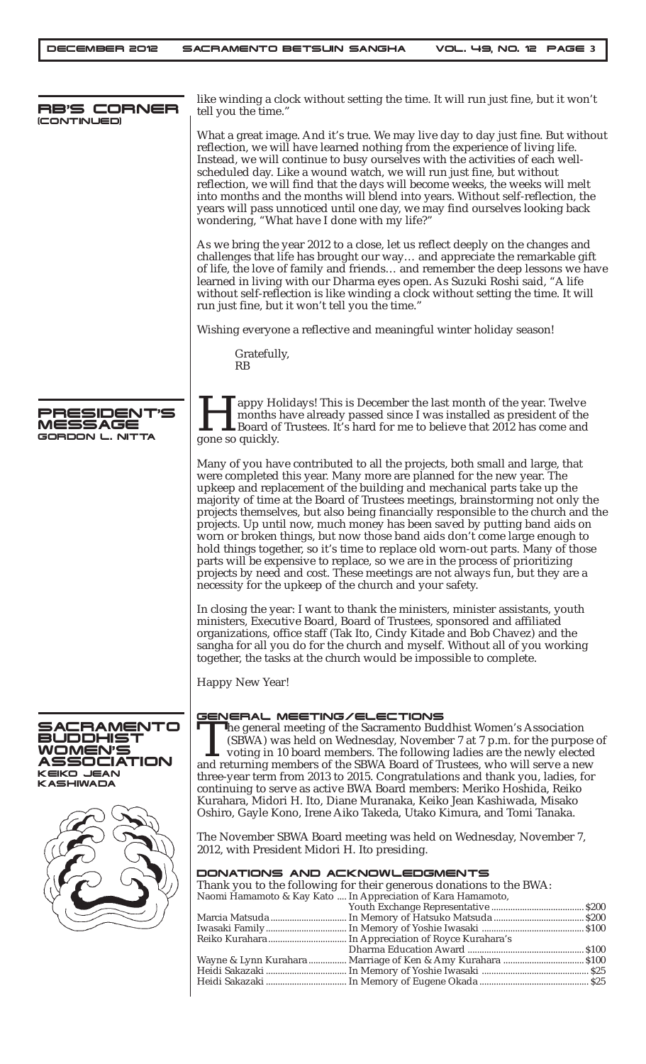DECEMBER 2012 SACRAMENTO BETSUIN SANGHA VOL. 49, NO. 12 PAGE **3**

| RB'S CORNER<br>(CONTINUED)                                                                      | like winding a clock without setting the time. It will run just fine, but it won't<br>tell you the time."                                                                                                                                                                                                                                                                                                                                                                                                                                                                                                                                                                                                                                                                                                                                                                       |
|-------------------------------------------------------------------------------------------------|---------------------------------------------------------------------------------------------------------------------------------------------------------------------------------------------------------------------------------------------------------------------------------------------------------------------------------------------------------------------------------------------------------------------------------------------------------------------------------------------------------------------------------------------------------------------------------------------------------------------------------------------------------------------------------------------------------------------------------------------------------------------------------------------------------------------------------------------------------------------------------|
|                                                                                                 | What a great image. And it's true. We may live day to day just fine. But without<br>reflection, we will have learned nothing from the experience of living life.<br>Instead, we will continue to busy ourselves with the activities of each well-<br>scheduled day. Like a wound watch, we will run just fine, but without<br>reflection, we will find that the days will become weeks, the weeks will melt<br>into months and the months will blend into years. Without self-reflection, the<br>years will pass unnoticed until one day, we may find ourselves looking back<br>wondering, "What have I done with my life?"                                                                                                                                                                                                                                                     |
|                                                                                                 | As we bring the year 2012 to a close, let us reflect deeply on the changes and<br>challenges that life has brought our way and appreciate the remarkable gift<br>of life, the love of family and friends and remember the deep lessons we have<br>learned in living with our Dharma eyes open. As Suzuki Roshi said, "A life<br>without self-reflection is like winding a clock without setting the time. It will<br>run just fine, but it won't tell you the time."                                                                                                                                                                                                                                                                                                                                                                                                            |
|                                                                                                 | Wishing everyone a reflective and meaningful winter holiday season!                                                                                                                                                                                                                                                                                                                                                                                                                                                                                                                                                                                                                                                                                                                                                                                                             |
|                                                                                                 | Gratefully,<br><b>RB</b>                                                                                                                                                                                                                                                                                                                                                                                                                                                                                                                                                                                                                                                                                                                                                                                                                                                        |
| PRESIDENT'S<br>MESSAGE<br><b>GORDON L. NITTA</b>                                                | appy Holidays! This is December the last month of the year. Twelve<br>months have already passed since I was installed as president of the<br>Board of Trustees. It's hard for me to believe that 2012 has come and<br>gone so quickly.                                                                                                                                                                                                                                                                                                                                                                                                                                                                                                                                                                                                                                         |
|                                                                                                 | Many of you have contributed to all the projects, both small and large, that<br>were completed this year. Many more are planned for the new year. The<br>upkeep and replacement of the building and mechanical parts take up the<br>majority of time at the Board of Trustees meetings, brainstorming not only the<br>projects themselves, but also being financially responsible to the church and the<br>projects. Up until now, much money has been saved by putting band aids on<br>worn or broken things, but now those band aids don't come large enough to<br>hold things together, so it's time to replace old worn-out parts. Many of those<br>parts will be expensive to replace, so we are in the process of prioritizing<br>projects by need and cost. These meetings are not always fun, but they are a<br>necessity for the upkeep of the church and your safety. |
|                                                                                                 | In closing the year: I want to thank the ministers, minister assistants, youth<br>ministers, Executive Board, Board of Trustees, sponsored and affiliated<br>organizations, office staff (Tak Ito, Cindy Kitade and Bob Chavez) and the<br>sangha for all you do for the church and myself. Without all of you working<br>together, the tasks at the church would be impossible to complete.                                                                                                                                                                                                                                                                                                                                                                                                                                                                                    |
|                                                                                                 | <b>Happy New Year!</b>                                                                                                                                                                                                                                                                                                                                                                                                                                                                                                                                                                                                                                                                                                                                                                                                                                                          |
| SACRAMENTO<br><b>BUDDHIST</b><br>WOMEN'S<br>SSOCIATION<br><b>KEIKO JEAN</b><br><b>KASHIWADA</b> | GENERAL MEETING/ELECTIONS<br>The general meeting of the Sacramento Buddhist Women's Association<br>(SBWA) was held on Wednesday, November 7 at 7 p.m. for the purpose of<br>$\mathsf{\mathsf{L}}$ voting in 10 board members. The following ladies are the newly elected<br>and returning members of the SBWA Board of Trustees, who will serve a new<br>three-year term from 2013 to 2015. Congratulations and thank you, ladies, for<br>continuing to serve as active BWA Board members: Meriko Hoshida, Reiko<br>Kurahara, Midori H. Ito, Diane Muranaka, Keiko Jean Kashiwada, Misako<br>Oshiro, Gayle Kono, Irene Aiko Takeda, Utako Kimura, and Tomi Tanaka.                                                                                                                                                                                                              |
|                                                                                                 | The November SBWA Board meeting was held on Wednesday, November 7,<br>2012, with President Midori H. Ito presiding.                                                                                                                                                                                                                                                                                                                                                                                                                                                                                                                                                                                                                                                                                                                                                             |
|                                                                                                 | DONATIONS AND ACKNOWLEDGMENTS<br>Thank you to the following for their generous donations to the BWA:<br>Naomi Hamamoto & Kay Kato  In Appreciation of Kara Hamamoto,                                                                                                                                                                                                                                                                                                                                                                                                                                                                                                                                                                                                                                                                                                            |
|                                                                                                 | Wayne & Lynn Kurahara  Marriage of Ken & Amy Kurahara  \$100                                                                                                                                                                                                                                                                                                                                                                                                                                                                                                                                                                                                                                                                                                                                                                                                                    |
|                                                                                                 |                                                                                                                                                                                                                                                                                                                                                                                                                                                                                                                                                                                                                                                                                                                                                                                                                                                                                 |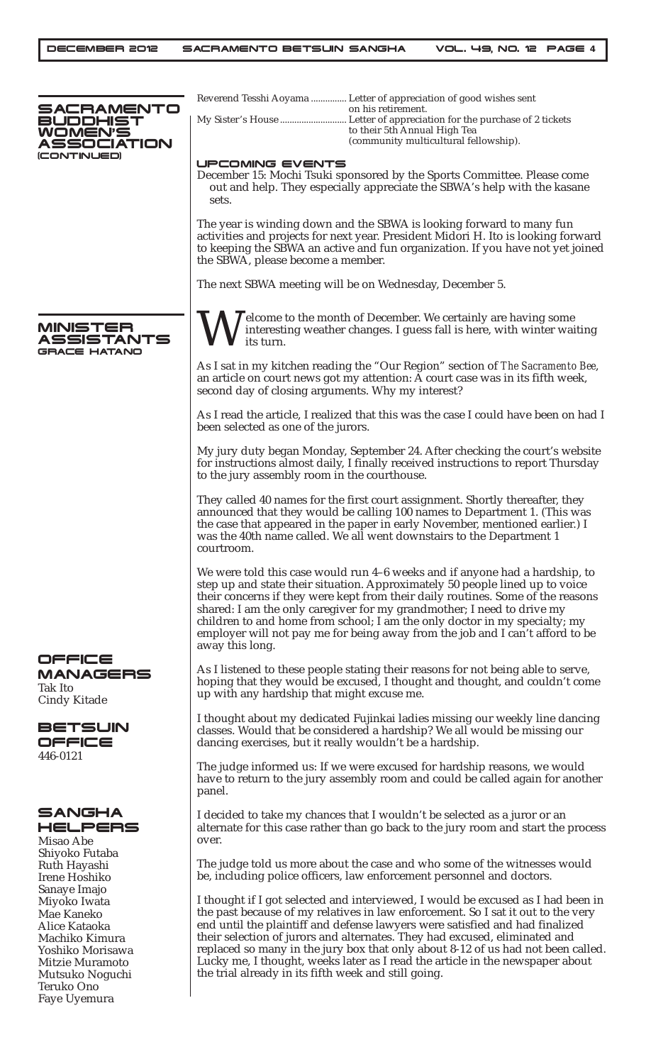| SACRAMENTO                                                                                                                            | Reverend Tesshi Aoyama  Letter of appreciation of good wishes sent<br>on his retirement.                                                                                                                                                                                                                                                                                                                                                                                                                                                                        |
|---------------------------------------------------------------------------------------------------------------------------------------|-----------------------------------------------------------------------------------------------------------------------------------------------------------------------------------------------------------------------------------------------------------------------------------------------------------------------------------------------------------------------------------------------------------------------------------------------------------------------------------------------------------------------------------------------------------------|
| BUDDHIST<br>WOMEN'S                                                                                                                   | to their 5th Annual High Tea                                                                                                                                                                                                                                                                                                                                                                                                                                                                                                                                    |
| ASSOCIATION                                                                                                                           | (community multicultural fellowship).                                                                                                                                                                                                                                                                                                                                                                                                                                                                                                                           |
| (CONTINUED)                                                                                                                           | UPCOMING EVENTS                                                                                                                                                                                                                                                                                                                                                                                                                                                                                                                                                 |
|                                                                                                                                       | December 15: Mochi Tsuki sponsored by the Sports Committee. Please come<br>out and help. They especially appreciate the SBWA's help with the kasane<br>sets.                                                                                                                                                                                                                                                                                                                                                                                                    |
|                                                                                                                                       | The year is winding down and the SBWA is looking forward to many fun<br>activities and projects for next year. President Midori H. Ito is looking forward<br>to keeping the SBWA an active and fun organization. If you have not yet joined<br>the SBWA, please become a member.                                                                                                                                                                                                                                                                                |
|                                                                                                                                       | The next SBWA meeting will be on Wednesday, December 5.                                                                                                                                                                                                                                                                                                                                                                                                                                                                                                         |
| MINISTER<br><b>SSISTANTS</b><br>GRACE HATANO                                                                                          | $\overline{I}$ elcome to the month of December. We certainly are having some<br>interesting weather changes. I guess fall is here, with winter waiting<br><i>its turn.</i>                                                                                                                                                                                                                                                                                                                                                                                      |
|                                                                                                                                       | As I sat in my kitchen reading the "Our Region" section of The Sacramento Bee,<br>an article on court news got my attention: A court case was in its fifth week,<br>second day of closing arguments. Why my interest?                                                                                                                                                                                                                                                                                                                                           |
|                                                                                                                                       | As I read the article, I realized that this was the case I could have been on had I<br>been selected as one of the jurors.                                                                                                                                                                                                                                                                                                                                                                                                                                      |
|                                                                                                                                       | My jury duty began Monday, September 24. After checking the court's website<br>for instructions almost daily, I finally received instructions to report Thursday<br>to the jury assembly room in the courthouse.                                                                                                                                                                                                                                                                                                                                                |
|                                                                                                                                       | They called 40 names for the first court assignment. Shortly thereafter, they<br>announced that they would be calling 100 names to Department 1. (This was<br>the case that appeared in the paper in early November, mentioned earlier.) I<br>was the 40th name called. We all went downstairs to the Department 1<br>courtroom.                                                                                                                                                                                                                                |
|                                                                                                                                       | We were told this case would run 4-6 weeks and if anyone had a hardship, to<br>step up and state their situation. Approximately 50 people lined up to voice<br>their concerns if they were kept from their daily routines. Some of the reasons<br>shared: I am the only caregiver for my grandmother; I need to drive my<br>children to and home from school; I am the only doctor in my specialty; my<br>employer will not pay me for being away from the job and I can't afford to be<br>away this long.                                                      |
| OFFICE<br><b>MANAGERS</b><br>Tak Ito<br>Cindy Kitade                                                                                  | As I listened to these people stating their reasons for not being able to serve,<br>hoping that they would be excused, I thought and thought, and couldn't come<br>up with any hardship that might excuse me.                                                                                                                                                                                                                                                                                                                                                   |
| <b>BETSUIN</b><br>OFFICE<br>446-0121                                                                                                  | I thought about my dedicated Fujinkai ladies missing our weekly line dancing<br>classes. Would that be considered a hardship? We all would be missing our<br>dancing exercises, but it really wouldn't be a hardship.                                                                                                                                                                                                                                                                                                                                           |
|                                                                                                                                       | The judge informed us: If we were excused for hardship reasons, we would<br>have to return to the jury assembly room and could be called again for another<br>panel.                                                                                                                                                                                                                                                                                                                                                                                            |
| <b>SANGHA</b><br>HELPERS<br>Misao Abe<br>Shiyoko Futaba<br>Ruth Hayashi<br>Irene Hoshiko<br>Sanaye Imajo                              | I decided to take my chances that I wouldn't be selected as a juror or an<br>alternate for this case rather than go back to the jury room and start the process<br>over.                                                                                                                                                                                                                                                                                                                                                                                        |
|                                                                                                                                       | The judge told us more about the case and who some of the witnesses would<br>be, including police officers, law enforcement personnel and doctors.                                                                                                                                                                                                                                                                                                                                                                                                              |
| Miyoko Iwata<br>Mae Kaneko<br>Alice Kataoka<br>Machiko Kimura<br>Yoshiko Morisawa<br>Mitzie Muramoto<br>Mutsuko Noguchi<br>Teruko Ono | I thought if I got selected and interviewed, I would be excused as I had been in<br>the past because of my relatives in law enforcement. So I sat it out to the very<br>end until the plaintiff and defense lawyers were satisfied and had finalized<br>their selection of jurors and alternates. They had excused, eliminated and<br>replaced so many in the jury box that only about 8-12 of us had not been called.<br>Lucky me, I thought, weeks later as I read the article in the newspaper about<br>the trial already in its fifth week and still going. |
| Faye Uyemura                                                                                                                          |                                                                                                                                                                                                                                                                                                                                                                                                                                                                                                                                                                 |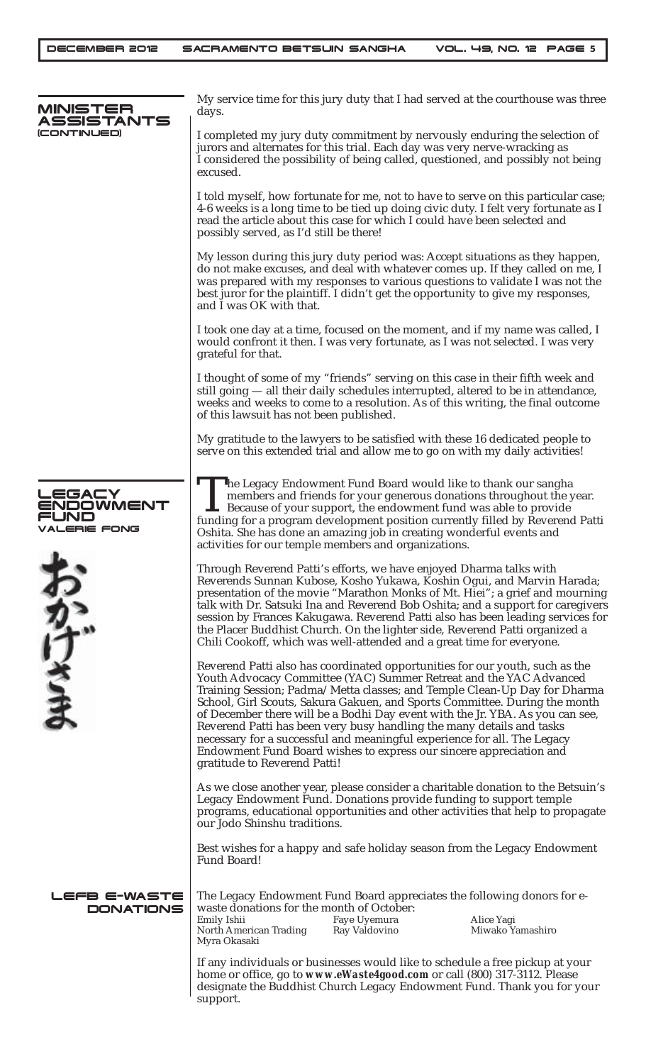| MINISTER<br>SSISTANTS<br>CONTINUED)                               | My service time for this jury duty that I had served at the courthouse was three<br>days.                                                                                                                                                                                                                                                                                                                                                                                                                                                                                                                                                                  |  |
|-------------------------------------------------------------------|------------------------------------------------------------------------------------------------------------------------------------------------------------------------------------------------------------------------------------------------------------------------------------------------------------------------------------------------------------------------------------------------------------------------------------------------------------------------------------------------------------------------------------------------------------------------------------------------------------------------------------------------------------|--|
|                                                                   | I completed my jury duty commitment by nervously enduring the selection of<br>jurors and alternates for this trial. Each day was very nerve-wracking as<br>I considered the possibility of being called, questioned, and possibly not being<br>excused.                                                                                                                                                                                                                                                                                                                                                                                                    |  |
|                                                                   | I told myself, how fortunate for me, not to have to serve on this particular case;<br>4-6 weeks is a long time to be tied up doing civic duty. I felt very fortunate as I<br>read the article about this case for which I could have been selected and<br>possibly served, as I'd still be there!                                                                                                                                                                                                                                                                                                                                                          |  |
|                                                                   | My lesson during this jury duty period was: Accept situations as they happen,<br>do not make excuses, and deal with whatever comes up. If they called on me, I<br>was prepared with my responses to various questions to validate I was not the<br>best juror for the plaintiff. I didn't get the opportunity to give my responses,<br>and I was OK with that.                                                                                                                                                                                                                                                                                             |  |
|                                                                   | I took one day at a time, focused on the moment, and if my name was called, I<br>would confront it then. I was very fortunate, as I was not selected. I was very<br>grateful for that.                                                                                                                                                                                                                                                                                                                                                                                                                                                                     |  |
|                                                                   | I thought of some of my "friends" serving on this case in their fifth week and<br>still going - all their daily schedules interrupted, altered to be in attendance,<br>weeks and weeks to come to a resolution. As of this writing, the final outcome<br>of this lawsuit has not been published.                                                                                                                                                                                                                                                                                                                                                           |  |
|                                                                   | My gratitude to the lawyers to be satisfied with these 16 dedicated people to<br>serve on this extended trial and allow me to go on with my daily activities!                                                                                                                                                                                                                                                                                                                                                                                                                                                                                              |  |
| <b>_EGACY</b><br><b>ENDOWMENT</b><br>=UND<br>VALERIE FONG<br>かけさま | The Legacy Endowment Fund Board would like to thank our sangha<br>members and friends for your generous donations throughout the year.<br>Because of your support, the endowment fund was able to provide<br>funding for a program development position currently filled by Reverend Patti<br>Oshita. She has done an amazing job in creating wonderful events and<br>activities for our temple members and organizations.                                                                                                                                                                                                                                 |  |
|                                                                   | Through Reverend Patti's efforts, we have enjoyed Dharma talks with<br>Reverends Sunnan Kubose, Kosho Yukawa, Koshin Ogui, and Marvin Harada;<br>presentation of the movie "Marathon Monks of Mt. Hiei"; a grief and mourning<br>talk with Dr. Satsuki Ina and Reverend Bob Oshita; and a support for caregivers<br>session by Frances Kakugawa. Reverend Patti also has been leading services for<br>the Placer Buddhist Church. On the lighter side, Reverend Patti organized a<br>Chili Cookoff, which was well-attended and a great time for everyone.                                                                                                 |  |
|                                                                   | Reverend Patti also has coordinated opportunities for our youth, such as the<br>Youth Advocacy Committee (YAC) Summer Retreat and the YAC Advanced<br>Training Session; Padma/Metta classes; and Temple Clean-Up Day for Dharma<br>School, Girl Scouts, Sakura Gakuen, and Sports Committee. During the month<br>of December there will be a Bodhi Day event with the Jr. YBA. As you can see,<br>Reverend Patti has been very busy handling the many details and tasks<br>necessary for a successful and meaningful experience for all. The Legacy<br>Endowment Fund Board wishes to express our sincere appreciation and<br>gratitude to Reverend Patti! |  |
|                                                                   | As we close another year, please consider a charitable donation to the Betsuin's<br>Legacy Endowment Fund. Donations provide funding to support temple<br>programs, educational opportunities and other activities that help to propagate<br>our Jodo Shinshu traditions.                                                                                                                                                                                                                                                                                                                                                                                  |  |
|                                                                   | Best wishes for a happy and safe holiday season from the Legacy Endowment<br>Fund Board!                                                                                                                                                                                                                                                                                                                                                                                                                                                                                                                                                                   |  |
| LEFB E-WASTE<br><b>DONATIONS</b>                                  | The Legacy Endowment Fund Board appreciates the following donors for e-<br>waste donations for the month of October:<br>Faye Uyemura<br>Emily Ishii<br>Alice Yagi<br>North American Trading<br>Miwako Yamashiro<br>Ray Valdovino<br>Myra Okasaki                                                                                                                                                                                                                                                                                                                                                                                                           |  |
|                                                                   | If any individuals or businesses would like to schedule a free pickup at your<br>home or office, go to www.eWaste4good.com or call (800) 317-3112. Please<br>designate the Buddhist Church Legacy Endowment Fund. Thank you for your<br>support.                                                                                                                                                                                                                                                                                                                                                                                                           |  |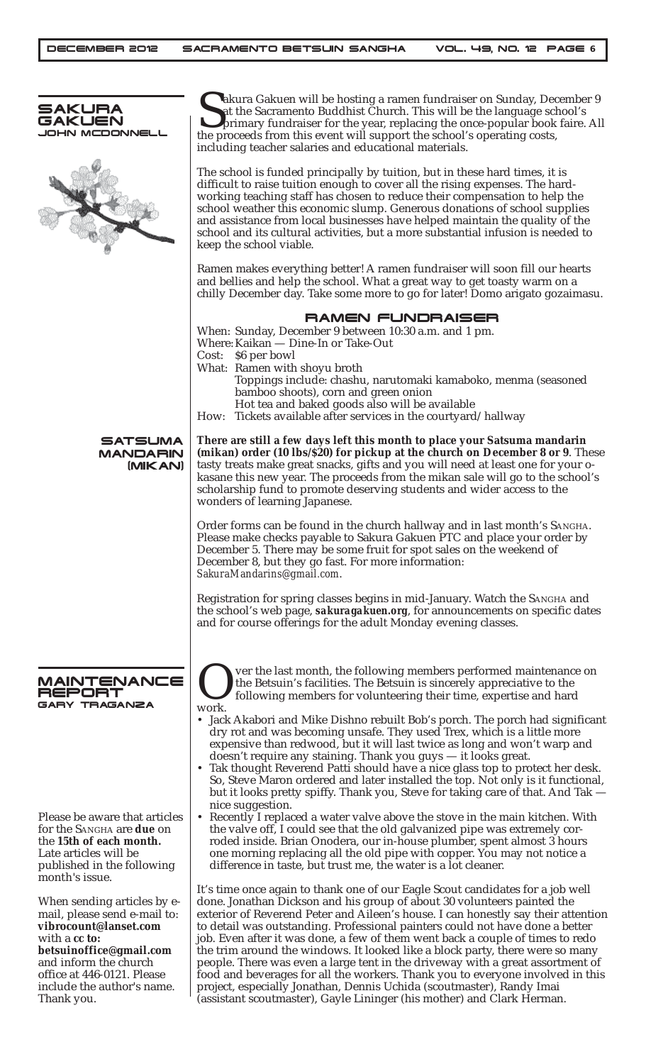| SAKURA<br>GAKUEN<br>JOHN MCDONNELL                                                                                                                                                                                                  | akura Gakuen will be hosting a ramen fundraiser on Sunday, December 9<br>at the Sacramento Buddhist Church. This will be the language school's<br>primary fundraiser for the year, replacing the once-popular book faire. All<br>the proceeds from this event will support the school's operating costs,<br>including teacher salaries and educational materials.                                                                                                                                                                                                                                                                                                                                                                                                                                                         |  |  |
|-------------------------------------------------------------------------------------------------------------------------------------------------------------------------------------------------------------------------------------|---------------------------------------------------------------------------------------------------------------------------------------------------------------------------------------------------------------------------------------------------------------------------------------------------------------------------------------------------------------------------------------------------------------------------------------------------------------------------------------------------------------------------------------------------------------------------------------------------------------------------------------------------------------------------------------------------------------------------------------------------------------------------------------------------------------------------|--|--|
|                                                                                                                                                                                                                                     | The school is funded principally by tuition, but in these hard times, it is<br>difficult to raise tuition enough to cover all the rising expenses. The hard-<br>working teaching staff has chosen to reduce their compensation to help the<br>school weather this economic slump. Generous donations of school supplies<br>and assistance from local businesses have helped maintain the quality of the<br>school and its cultural activities, but a more substantial infusion is needed to<br>keep the school viable.                                                                                                                                                                                                                                                                                                    |  |  |
|                                                                                                                                                                                                                                     | Ramen makes everything better! A ramen fundraiser will soon fill our hearts<br>and bellies and help the school. What a great way to get toasty warm on a<br>chilly December day. Take some more to go for later! Domo arigato gozaimasu.                                                                                                                                                                                                                                                                                                                                                                                                                                                                                                                                                                                  |  |  |
|                                                                                                                                                                                                                                     | <b>RAMEN FUNDRAISER</b><br>When: Sunday, December 9 between 10:30 a.m. and 1 pm.<br>Where: Kaikan - Dine-In or Take-Out<br>Cost: \$6 per bowl<br>What: Ramen with shoyu broth<br>Toppings include: chashu, narutomaki kamaboko, menma (seasoned<br>bamboo shoots), corn and green onion<br>Hot tea and baked goods also will be available<br>Tickets available after services in the courtyard/hallway<br>How:                                                                                                                                                                                                                                                                                                                                                                                                            |  |  |
| <b>SATSUMA</b><br><b>MANDARIN</b><br>(MIKAN)                                                                                                                                                                                        | There are still a few days left this month to place your Satsuma mandarin<br>(mikan) order (10 lbs/\$20) for pickup at the church on December 8 or 9. These<br>tasty treats make great snacks, gifts and you will need at least one for your o-<br>kasane this new year. The proceeds from the mikan sale will go to the school's<br>scholarship fund to promote deserving students and wider access to the<br>wonders of learning Japanese.                                                                                                                                                                                                                                                                                                                                                                              |  |  |
|                                                                                                                                                                                                                                     | Order forms can be found in the church hallway and in last month's SANGHA.<br>Please make checks payable to Sakura Gakuen PTC and place your order by<br>December 5. There may be some fruit for spot sales on the weekend of<br>December 8, but they go fast. For more information:<br>SakuraMandarins@gmail.com.                                                                                                                                                                                                                                                                                                                                                                                                                                                                                                        |  |  |
|                                                                                                                                                                                                                                     | Registration for spring classes begins in mid-January. Watch the SANGHA and<br>the school's web page, <i>sakuragakuen.org</i> , for announcements on specific dates<br>and for course offerings for the adult Monday evening classes.                                                                                                                                                                                                                                                                                                                                                                                                                                                                                                                                                                                     |  |  |
| MAINTENANCE<br>REPORT<br>GARY TRAGANZA                                                                                                                                                                                              | ver the last month, the following members performed maintenance on<br>the Betsuin's facilities. The Betsuin is sincerely appreciative to the<br>following members for volunteering their time, expertise and hard<br>work.<br>• Jack Akabori and Mike Dishno rebuilt Bob's porch. The porch had significant<br>dry rot and was becoming unsafe. They used Trex, which is a little more<br>expensive than redwood, but it will last twice as long and won't warp and<br>doesn't require any staining. Thank you guys — it looks great.<br>• Tak thought Reverend Patti should have a nice glass top to protect her desk.<br>So, Steve Maron ordered and later installed the top. Not only is it functional,<br>but it looks pretty spiffy. Thank you, Steve for taking care of that. And Tak —                             |  |  |
| Please be aware that articles<br>for the SANGHA are due on<br>the 15th of each month.<br>Late articles will be<br>published in the following<br>month's issue.                                                                      | nice suggestion.<br>• Recently I replaced a water valve above the stove in the main kitchen. With<br>the valve off, I could see that the old galvanized pipe was extremely cor-<br>roded inside. Brian Onodera, our in-house plumber, spent almost 3 hours<br>one morning replacing all the old pipe with copper. You may not notice a<br>difference in taste, but trust me, the water is a lot cleaner.                                                                                                                                                                                                                                                                                                                                                                                                                  |  |  |
| When sending articles by e-<br>mail, please send e-mail to:<br>vibrocount@lanset.com<br>with a cc to:<br>betsuinoffice@gmail.com<br>and inform the church<br>office at 446-0121. Please<br>include the author's name.<br>Thank you. | It's time once again to thank one of our Eagle Scout candidates for a job well<br>done. Jonathan Dickson and his group of about 30 volunteers painted the<br>exterior of Reverend Peter and Aileen's house. I can honestly say their attention<br>to detail was outstanding. Professional painters could not have done a better<br>job. Even after it was done, a few of them went back a couple of times to redo<br>the trim around the windows. It looked like a block party, there were so many<br>people. There was even a large tent in the driveway with a great assortment of<br>food and beverages for all the workers. Thank you to everyone involved in this<br>project, especially Jonathan, Dennis Uchida (scoutmaster), Randy Imai<br>(assistant scoutmaster), Gayle Lininger (his mother) and Clark Herman. |  |  |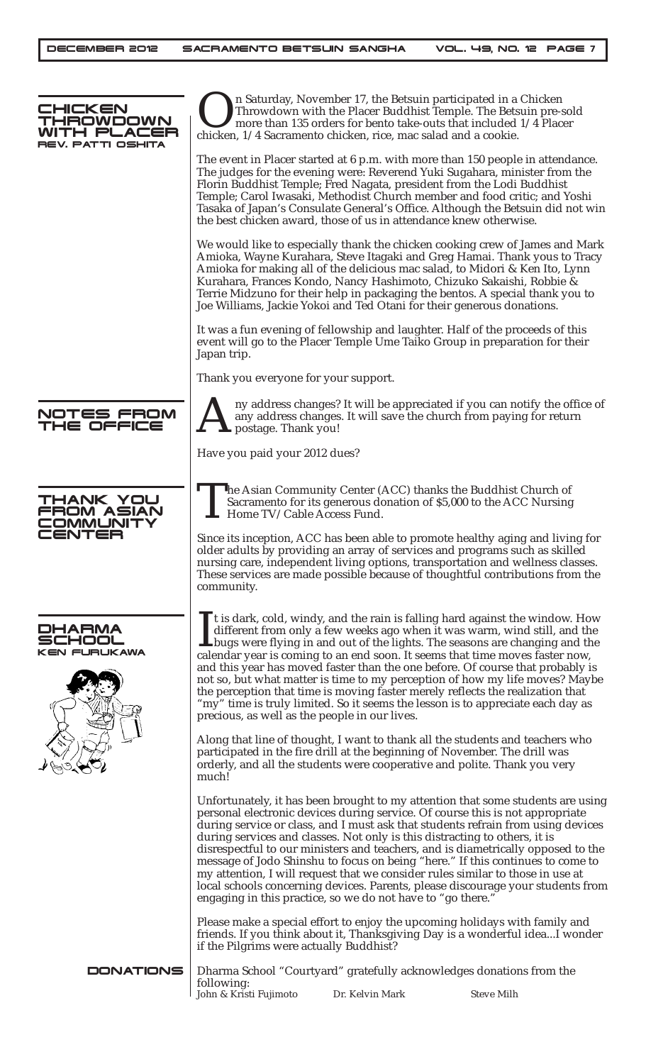| <b>IHICKEN</b><br>HAOWDOWN<br>cer<br>7 PLA<br>REV. PATTI OSHITA |                                               | n Saturday, November 17, the Betsuin participated in a Chicken<br>Throwdown with the Placer Buddhist Temple. The Betsuin pre-sold<br>more than 135 orders for bento take-outs that included 1/4 Placer<br>chicken, 1/4 Sacramento chicken, rice, mac salad and a cookie.                                       |                                                                                                                                                                                                                                                                                                                                                                                                                              |
|-----------------------------------------------------------------|-----------------------------------------------|----------------------------------------------------------------------------------------------------------------------------------------------------------------------------------------------------------------------------------------------------------------------------------------------------------------|------------------------------------------------------------------------------------------------------------------------------------------------------------------------------------------------------------------------------------------------------------------------------------------------------------------------------------------------------------------------------------------------------------------------------|
|                                                                 |                                               | The judges for the evening were: Reverend Yuki Sugahara, minister from the<br>Florin Buddhist Temple; Fred Nagata, president from the Lodi Buddhist<br>Temple; Carol Iwasaki, Methodist Church member and food critic; and Yoshi<br>the best chicken award, those of us in attendance knew otherwise.          | The event in Placer started at 6 p.m. with more than 150 people in attendance.<br>Tasaka of Japan's Consulate General's Office. Although the Betsuin did not win                                                                                                                                                                                                                                                             |
|                                                                 |                                               | Amioka for making all of the delicious mac salad, to Midori & Ken Ito, Lynn<br>Kurahara, Frances Kondo, Nancy Hashimoto, Chizuko Sakaishi, Robbie &<br>Terrie Midzuno for their help in packaging the bentos. A special thank you to<br>Joe Williams, Jackie Yokoi and Ted Otani for their generous donations. | We would like to especially thank the chicken cooking crew of James and Mark<br>Amioka, Wayne Kurahara, Steve Itagaki and Greg Hamai. Thank yous to Tracy                                                                                                                                                                                                                                                                    |
|                                                                 | Japan trip.                                   | It was a fun evening of fellowship and laughter. Half of the proceeds of this<br>event will go to the Placer Temple Ume Taiko Group in preparation for their                                                                                                                                                   |                                                                                                                                                                                                                                                                                                                                                                                                                              |
|                                                                 | Thank you everyone for your support.          |                                                                                                                                                                                                                                                                                                                |                                                                                                                                                                                                                                                                                                                                                                                                                              |
| NOTES FROM<br>THE OFFICE                                        | postage. Thank you!                           | any address changes. It will save the church from paying for return                                                                                                                                                                                                                                            | ny address changes? It will be appreciated if you can notify the office of                                                                                                                                                                                                                                                                                                                                                   |
|                                                                 | Have you paid your 2012 dues?                 |                                                                                                                                                                                                                                                                                                                |                                                                                                                                                                                                                                                                                                                                                                                                                              |
| THANK YOU<br>FROM ASIAN<br>OMMUNITY<br><b>IENTER</b>            | Home TV/Cable Access Fund.                    | The Asian Community Center (ACC) thanks the Buddhist Church of<br>Sacramento for its generous donation of \$5,000 to the ACC Nursing                                                                                                                                                                           |                                                                                                                                                                                                                                                                                                                                                                                                                              |
|                                                                 | community.                                    | older adults by providing an array of services and programs such as skilled                                                                                                                                                                                                                                    | Since its inception, ACC has been able to promote healthy aging and living for<br>nursing care, independent living options, transportation and wellness classes.<br>These services are made possible because of thoughtful contributions from the                                                                                                                                                                            |
| DHARMA<br>KEN FURUKAWA                                          | precious, as well as the people in our lives. | calendar year is coming to an end soon. It seems that time moves faster now,<br>the perception that time is moving faster merely reflects the realization that<br>"my" time is truly limited. So it seems the lesson is to appreciate each day as                                                              | If is dark, cold, windy, and the rain is falling hard against the window. How<br>different from only a few weeks ago when it was warm, wind still, and the<br><b>L</b> bugs were flying in and out of the lights. The seasons are changing and the<br>and this year has moved faster than the one before. Of course that probably is<br>not so, but what matter is time to my perception of how my life moves? Maybe         |
|                                                                 | much!                                         | Along that line of thought, I want to thank all the students and teachers who<br>participated in the fire drill at the beginning of November. The drill was<br>orderly, and all the students were cooperative and polite. Thank you very                                                                       |                                                                                                                                                                                                                                                                                                                                                                                                                              |
|                                                                 |                                               | personal electronic devices during service. Of course this is not appropriate<br>during services and classes. Not only is this distracting to others, it is<br>my attention, I will request that we consider rules similar to those in use at<br>engaging in this practice, so we do not have to "go there."   | Unfortunately, it has been brought to my attention that some students are using<br>during service or class, and I must ask that students refrain from using devices<br>disrespectful to our ministers and teachers, and is diametrically opposed to the<br>message of Jodo Shinshu to focus on being "here." If this continues to come to<br>local schools concerning devices. Parents, please discourage your students from |
|                                                                 | if the Pilgrims were actually Buddhist?       | Please make a special effort to enjoy the upcoming holidays with family and                                                                                                                                                                                                                                    | friends. If you think about it, Thanksgiving Day is a wonderful ideaI wonder                                                                                                                                                                                                                                                                                                                                                 |
| <b>DONATIONS</b>                                                | following:<br>John & Kristi Fujimoto          | Dharma School "Courtyard" gratefully acknowledges donations from the<br>Dr. Kelvin Mark                                                                                                                                                                                                                        | <b>Steve Milh</b>                                                                                                                                                                                                                                                                                                                                                                                                            |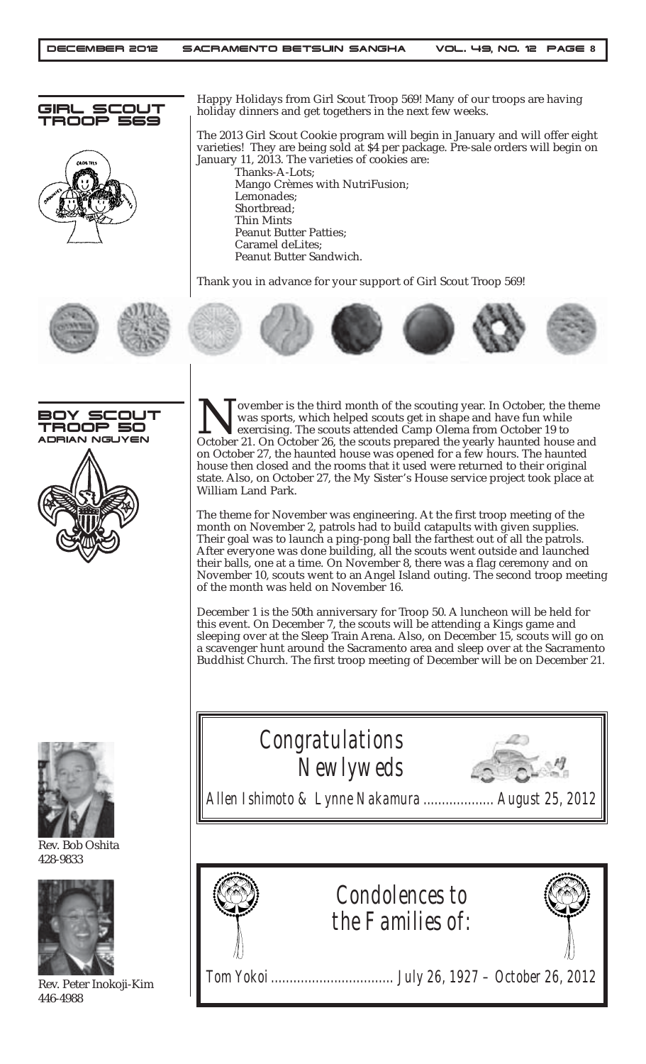



Happy Holidays from Girl Scout Troop 569! Many of our troops are having holiday dinners and get togethers in the next few weeks.

The 2013 Girl Scout Cookie program will begin in January and will offer eight varieties! They are being sold at \$4 per package. Pre-sale orders will begin on January 11, 2013. The varieties of cookies are:

Thanks-A-Lots; Mango Crèmes with NutriFusion; Lemonades; Shortbread; Thin Mints Peanut Butter Patties; Caramel deLites; Peanut Butter Sandwich.

Thank you in advance for your support of Girl Scout Troop 569!









Rev. Bob Oshita 428-9833



Rev. Peter Inokoji-Kim 446-4988

November is the third month of the scouting year. In October, the theme<br>was sports, which helped scouts get in shape and have fun while<br>exercising. The scouts attended Camp Olema from October 19 to<br>October 21. On October 2 was sports, which helped scouts get in shape and have fun while exercising. The scouts attended Camp Olema from October 19 to October 21. On October 26, the scouts prepared the yearly haunted house and on October 27, the haunted house was opened for a few hours. The haunted house then closed and the rooms that it used were returned to their original state. Also, on October 27, the My Sister's House service project took place at William Land Park.

The theme for November was engineering. At the first troop meeting of the month on November 2, patrols had to build catapults with given supplies. Their goal was to launch a ping-pong ball the farthest out of all the patrols. After everyone was done building, all the scouts went outside and launched their balls, one at a time. On November 8, there was a flag ceremony and on November 10, scouts went to an Angel Island outing. The second troop meeting of the month was held on November 16.

December 1 is the 50th anniversary for Troop 50. A luncheon will be held for this event. On December 7, the scouts will be attending a Kings game and sleeping over at the Sleep Train Arena. Also, on December 15, scouts will go on a scavenger hunt around the Sacramento area and sleep over at the Sacramento Buddhist Church. The first troop meeting of December will be on December 21.





*Tom Yokoi ................................. July 26, 1927 – October 26, 2012*